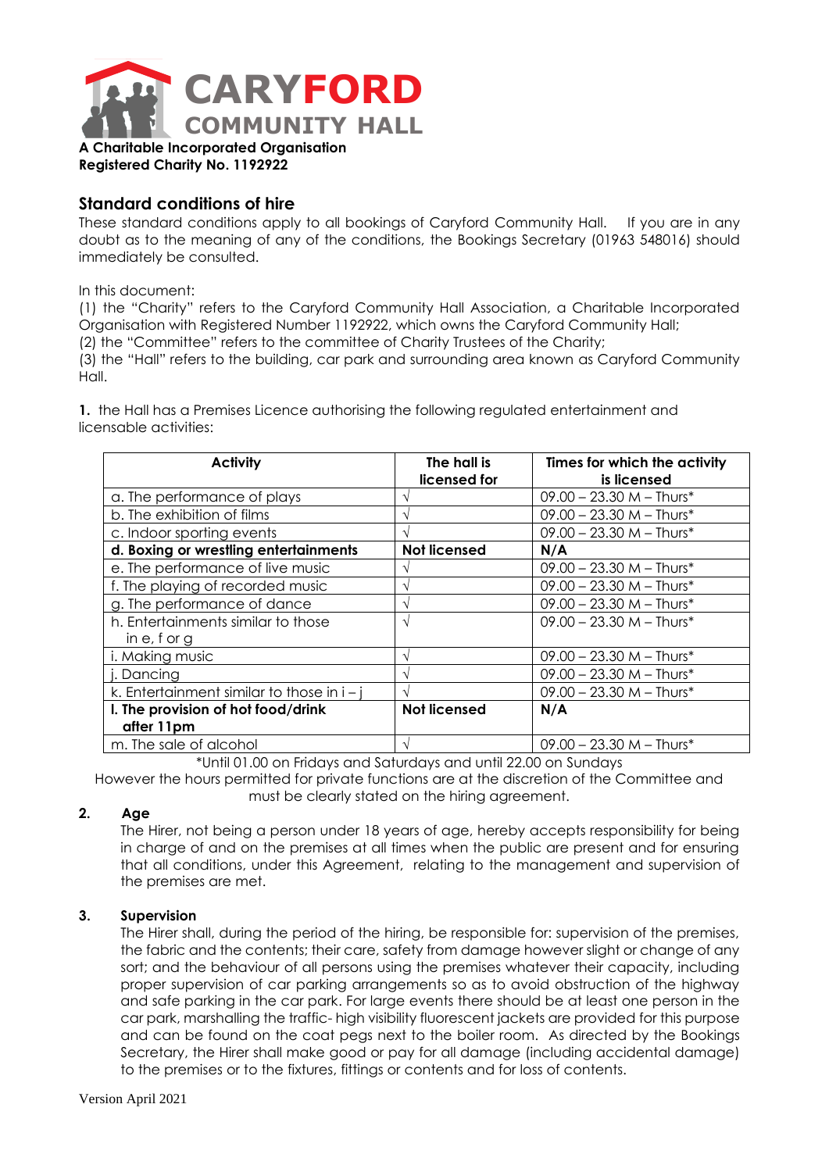

**Registered Charity No. 1192922**

# **Standard conditions of hire**

These standard conditions apply to all bookings of Caryford Community Hall. If you are in any doubt as to the meaning of any of the conditions, the Bookings Secretary (01963 548016) should immediately be consulted.

In this document:

(1) the "Charity" refers to the Caryford Community Hall Association, a Charitable Incorporated Organisation with Registered Number 1192922, which owns the Caryford Community Hall;

(2) the "Committee" refers to the committee of Charity Trustees of the Charity;

(3) the "Hall" refers to the building, car park and surrounding area known as Caryford Community Hall.

**1.** the Hall has a Premises Licence authorising the following regulated entertainment and licensable activities:

| <b>Activity</b>                              | The hall is<br>licensed for | Times for which the activity<br>is licensed |
|----------------------------------------------|-----------------------------|---------------------------------------------|
| a. The performance of plays                  |                             | $09.00 - 23.30$ M - Thurs*                  |
| b. The exhibition of films                   |                             | $09.00 - 23.30$ M - Thurs*                  |
| c. Indoor sporting events                    |                             | $09.00 - 23.30$ M - Thurs*                  |
| d. Boxing or wrestling entertainments        | <b>Not licensed</b>         | N/A                                         |
| e. The performance of live music             |                             | $09.00 - 23.30$ M - Thurs*                  |
| f. The playing of recorded music             |                             | $09.00 - 23.30$ M - Thurs*                  |
| g. The performance of dance                  |                             | $09.00 - 23.30$ M - Thurs*                  |
| h. Entertainments similar to those           | N                           | $09.00 - 23.30$ M - Thurs*                  |
| in $e$ , f or g                              |                             |                                             |
| i. Making music                              |                             | $09.00 - 23.30$ M - Thurs*                  |
| j. Dancing                                   |                             | $09.00 - 23.30$ M - Thurs*                  |
| k. Entertainment similar to those in $i - j$ |                             | $09.00 - 23.30$ M - Thurs*                  |
| I. The provision of hot food/drink           | <b>Not licensed</b>         | N/A                                         |
| after 11pm                                   |                             |                                             |
| m. The sale of alcohol                       |                             | $09.00 - 23.30$ M - Thurs*                  |

\*Until 01.00 on Fridays and Saturdays and until 22.00 on Sundays

However the hours permitted for private functions are at the discretion of the Committee and must be clearly stated on the hiring agreement.

## **2. Age**

The Hirer, not being a person under 18 years of age, hereby accepts responsibility for being in charge of and on the premises at all times when the public are present and for ensuring that all conditions, under this Agreement, relating to the management and supervision of the premises are met.

## **3. Supervision**

The Hirer shall, during the period of the hiring, be responsible for: supervision of the premises, the fabric and the contents; their care, safety from damage however slight or change of any sort; and the behaviour of all persons using the premises whatever their capacity, including proper supervision of car parking arrangements so as to avoid obstruction of the highway and safe parking in the car park. For large events there should be at least one person in the car park, marshalling the traffic- high visibility fluorescent jackets are provided for this purpose and can be found on the coat pegs next to the boiler room. As directed by the Bookings Secretary, the Hirer shall make good or pay for all damage (including accidental damage) to the premises or to the fixtures, fittings or contents and for loss of contents.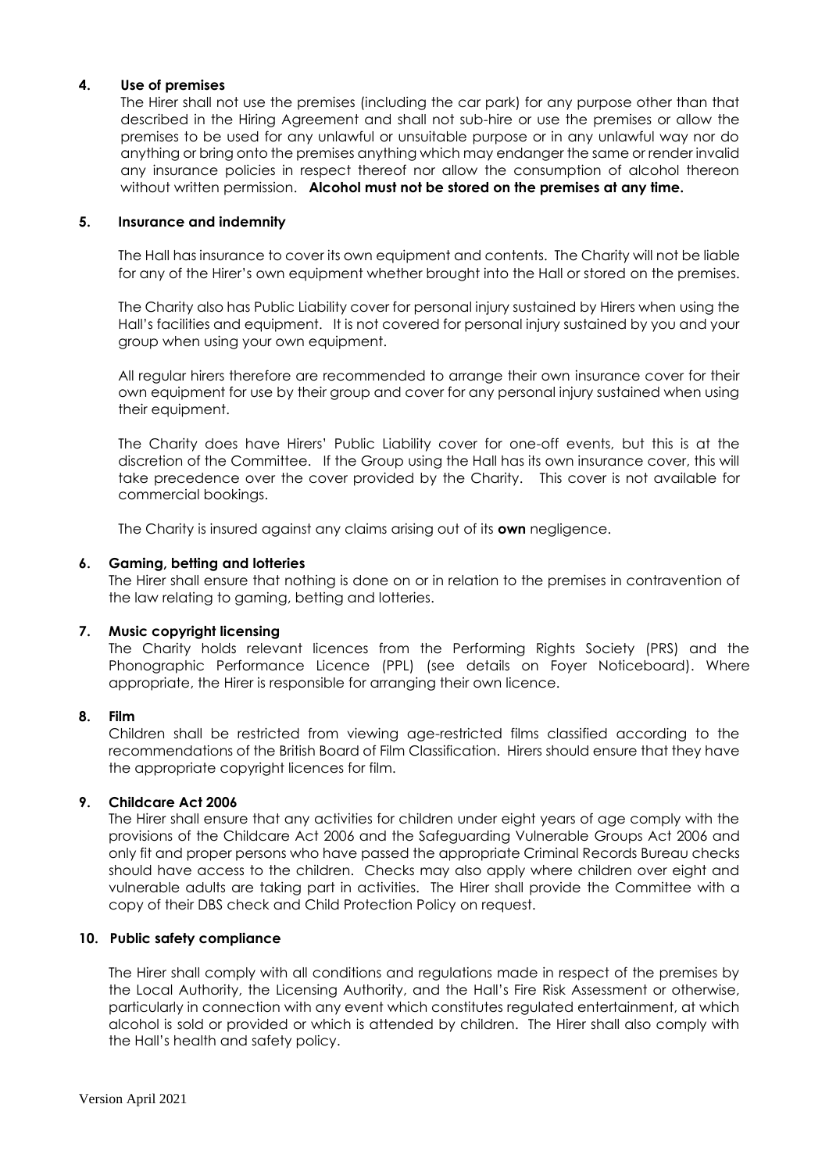## **4. Use of premises**

The Hirer shall not use the premises (including the car park) for any purpose other than that described in the Hiring Agreement and shall not sub-hire or use the premises or allow the premises to be used for any unlawful or unsuitable purpose or in any unlawful way nor do anything or bring onto the premises anything which may endanger the same or render invalid any insurance policies in respect thereof nor allow the consumption of alcohol thereon without written permission. **Alcohol must not be stored on the premises at any time.**

## **5. Insurance and indemnity**

The Hall has insurance to cover its own equipment and contents. The Charity will not be liable for any of the Hirer's own equipment whether brought into the Hall or stored on the premises.

The Charity also has Public Liability cover for personal injury sustained by Hirers when using the Hall's facilities and equipment. It is not covered for personal injury sustained by you and your group when using your own equipment.

All regular hirers therefore are recommended to arrange their own insurance cover for their own equipment for use by their group and cover for any personal injury sustained when using their equipment.

The Charity does have Hirers' Public Liability cover for one-off events, but this is at the discretion of the Committee. If the Group using the Hall has its own insurance cover, this will take precedence over the cover provided by the Charity. This cover is not available for commercial bookings.

The Charity is insured against any claims arising out of its **own** negligence.

#### **6. Gaming, betting and lotteries**

The Hirer shall ensure that nothing is done on or in relation to the premises in contravention of the law relating to gaming, betting and lotteries.

## **7. Music copyright licensing**

The Charity holds relevant licences from the Performing Rights Society (PRS) and the Phonographic Performance Licence (PPL) (see details on Foyer Noticeboard). Where appropriate, the Hirer is responsible for arranging their own licence.

## **8. Film**

Children shall be restricted from viewing age-restricted films classified according to the recommendations of the British Board of Film Classification. Hirers should ensure that they have the appropriate copyright licences for film.

## **9. Childcare Act 2006**

The Hirer shall ensure that any activities for children under eight years of age comply with the provisions of the Childcare Act 2006 and the Safeguarding Vulnerable Groups Act 2006 and only fit and proper persons who have passed the appropriate Criminal Records Bureau checks should have access to the children. Checks may also apply where children over eight and vulnerable adults are taking part in activities. The Hirer shall provide the Committee with a copy of their DBS check and Child Protection Policy on request.

## **10. Public safety compliance**

The Hirer shall comply with all conditions and regulations made in respect of the premises by the Local Authority, the Licensing Authority, and the Hall's Fire Risk Assessment or otherwise, particularly in connection with any event which constitutes regulated entertainment, at which alcohol is sold or provided or which is attended by children. The Hirer shall also comply with the Hall's health and safety policy.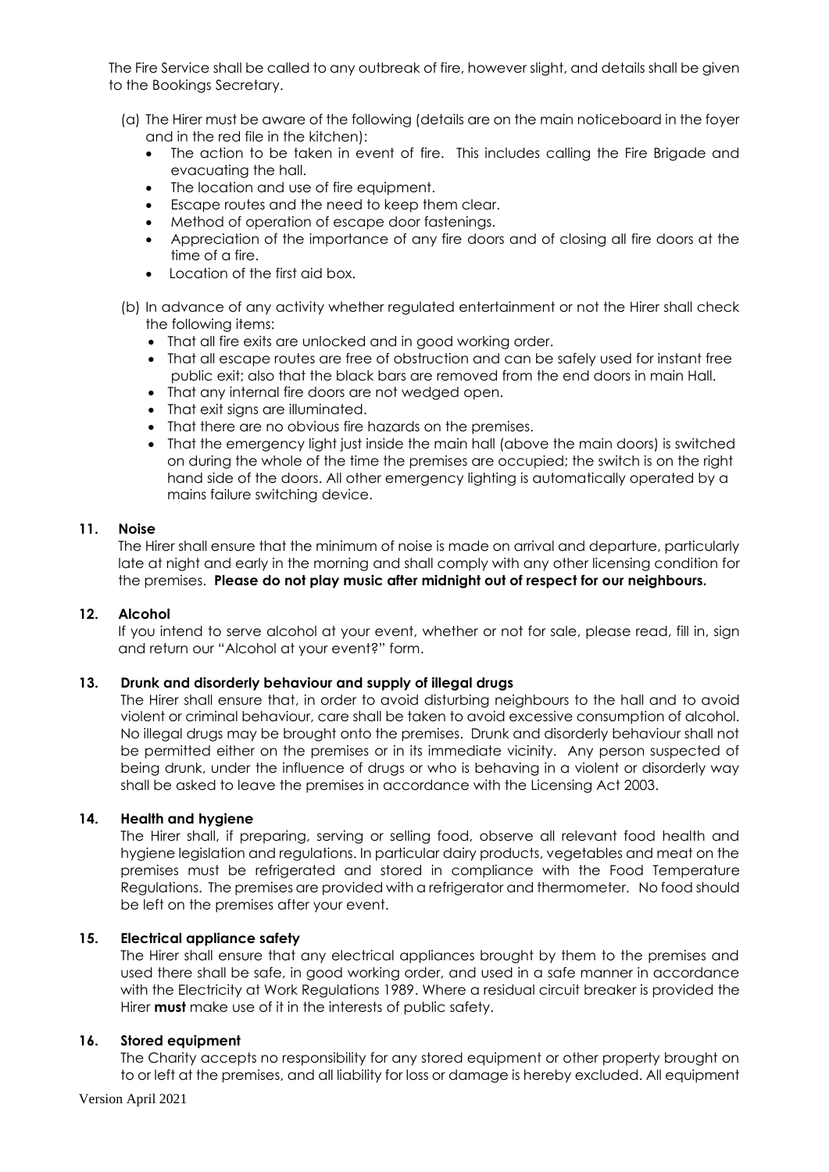The Fire Service shall be called to any outbreak of fire, however slight, and details shall be given to the Bookings Secretary.

- (a) The Hirer must be aware of the following (details are on the main noticeboard in the foyer and in the red file in the kitchen):
	- The action to be taken in event of fire. This includes calling the Fire Brigade and evacuating the hall.
	- The location and use of fire equipment.
	- Escape routes and the need to keep them clear.
	- Method of operation of escape door fastenings.
	- Appreciation of the importance of any fire doors and of closing all fire doors at the time of a fire.
	- Location of the first aid box.
- (b) In advance of any activity whether regulated entertainment or not the Hirer shall check the following items:
	- That all fire exits are unlocked and in good working order.
	- That all escape routes are free of obstruction and can be safely used for instant free public exit; also that the black bars are removed from the end doors in main Hall.
	- That any internal fire doors are not wedged open.
	- That exit sians are illuminated.
	- That there are no obvious fire hazards on the premises.
	- That the emergency light just inside the main hall (above the main doors) is switched on during the whole of the time the premises are occupied; the switch is on the right hand side of the doors. All other emergency lighting is automatically operated by a mains failure switching device.

## **11. Noise**

The Hirer shall ensure that the minimum of noise is made on arrival and departure, particularly late at night and early in the morning and shall comply with any other licensing condition for the premises. **Please do not play music after midnight out of respect for our neighbours.**

## **12. Alcohol**

If you intend to serve alcohol at your event, whether or not for sale, please read, fill in, sign and return our "Alcohol at your event?" form.

## **13. Drunk and disorderly behaviour and supply of illegal drugs**

The Hirer shall ensure that, in order to avoid disturbing neighbours to the hall and to avoid violent or criminal behaviour, care shall be taken to avoid excessive consumption of alcohol. No illegal drugs may be brought onto the premises. Drunk and disorderly behaviour shall not be permitted either on the premises or in its immediate vicinity. Any person suspected of being drunk, under the influence of drugs or who is behaving in a violent or disorderly way shall be asked to leave the premises in accordance with the Licensing Act 2003.

## **14. Health and hygiene**

The Hirer shall, if preparing, serving or selling food, observe all relevant food health and hygiene legislation and regulations. In particular dairy products, vegetables and meat on the premises must be refrigerated and stored in compliance with the Food Temperature Regulations. The premises are provided with a refrigerator and thermometer. No food should be left on the premises after your event.

## **15. Electrical appliance safety**

The Hirer shall ensure that any electrical appliances brought by them to the premises and used there shall be safe, in good working order, and used in a safe manner in accordance with the Electricity at Work Regulations 1989. Where a residual circuit breaker is provided the Hirer **must** make use of it in the interests of public safety.

## **16. Stored equipment**

The Charity accepts no responsibility for any stored equipment or other property brought on to or left at the premises, and all liability for loss or damage is hereby excluded. All equipment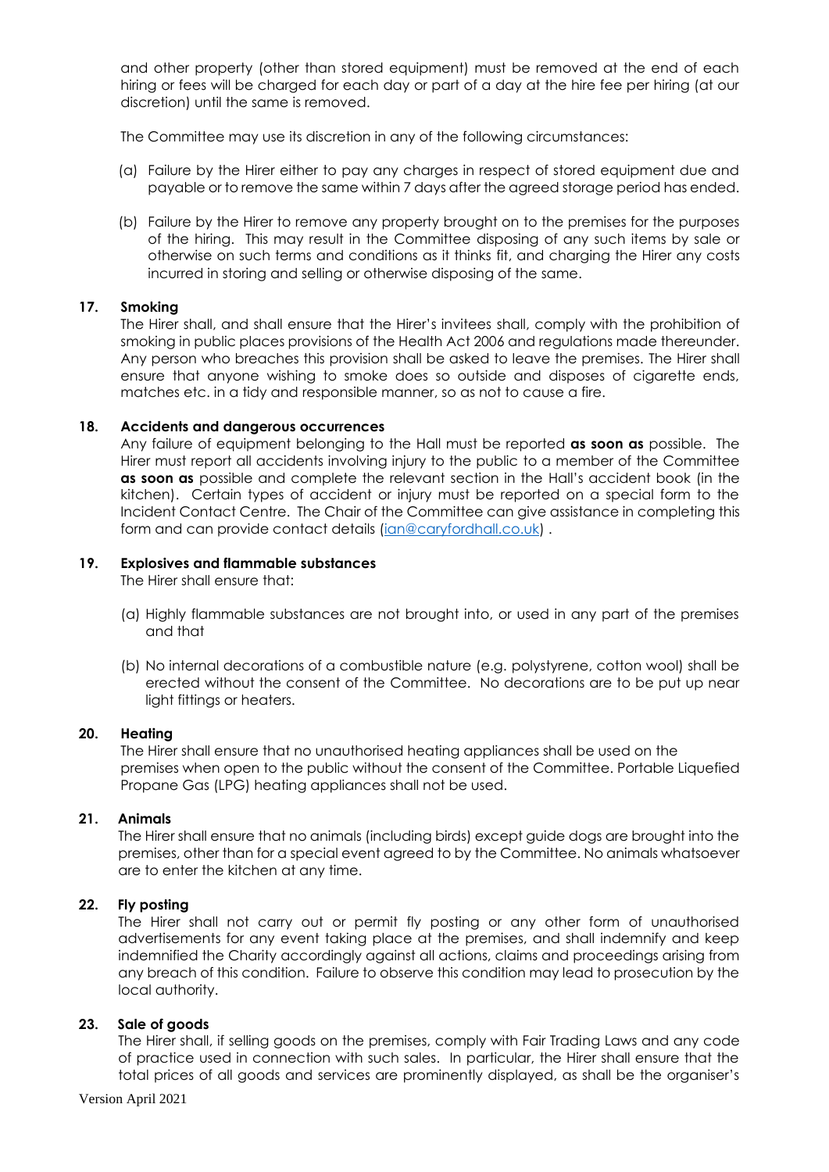and other property (other than stored equipment) must be removed at the end of each hiring or fees will be charged for each day or part of a day at the hire fee per hiring (at our discretion) until the same is removed.

The Committee may use its discretion in any of the following circumstances:

- (a) Failure by the Hirer either to pay any charges in respect of stored equipment due and payable or to remove the same within 7 days after the agreed storage period has ended.
- (b) Failure by the Hirer to remove any property brought on to the premises for the purposes of the hiring. This may result in the Committee disposing of any such items by sale or otherwise on such terms and conditions as it thinks fit, and charging the Hirer any costs incurred in storing and selling or otherwise disposing of the same.

## **17. Smoking**

The Hirer shall, and shall ensure that the Hirer's invitees shall, comply with the prohibition of smoking in public places provisions of the Health Act 2006 and regulations made thereunder. Any person who breaches this provision shall be asked to leave the premises. The Hirer shall ensure that anyone wishing to smoke does so outside and disposes of cigarette ends, matches etc. in a tidy and responsible manner, so as not to cause a fire.

## **18. Accidents and dangerous occurrences**

Any failure of equipment belonging to the Hall must be reported **as soon as** possible. The Hirer must report all accidents involving injury to the public to a member of the Committee **as soon as** possible and complete the relevant section in the Hall's accident book (in the kitchen). Certain types of accident or injury must be reported on a special form to the Incident Contact Centre. The Chair of the Committee can give assistance in completing this form and can provide contact details [\(ian@caryfordhall.co.uk\)](mailto:ian@caryfordhall.co.uk) .

## **19. Explosives and flammable substances**

The Hirer shall ensure that:

- (a) Highly flammable substances are not brought into, or used in any part of the premises and that
- (b) No internal decorations of a combustible nature (e.g. polystyrene, cotton wool) shall be erected without the consent of the Committee. No decorations are to be put up near light fittings or heaters.

## **20. Heating**

The Hirer shall ensure that no unauthorised heating appliances shall be used on the premises when open to the public without the consent of the Committee. Portable Liquefied Propane Gas (LPG) heating appliances shall not be used.

## **21. Animals**

The Hirer shall ensure that no animals (including birds) except guide dogs are brought into the premises, other than for a special event agreed to by the Committee. No animals whatsoever are to enter the kitchen at any time.

## **22. Fly posting**

The Hirer shall not carry out or permit fly posting or any other form of unauthorised advertisements for any event taking place at the premises, and shall indemnify and keep indemnified the Charity accordingly against all actions, claims and proceedings arising from any breach of this condition. Failure to observe this condition may lead to prosecution by the local authority.

## **23. Sale of goods**

The Hirer shall, if selling goods on the premises, comply with Fair Trading Laws and any code of practice used in connection with such sales. In particular, the Hirer shall ensure that the total prices of all goods and services are prominently displayed, as shall be the organiser's